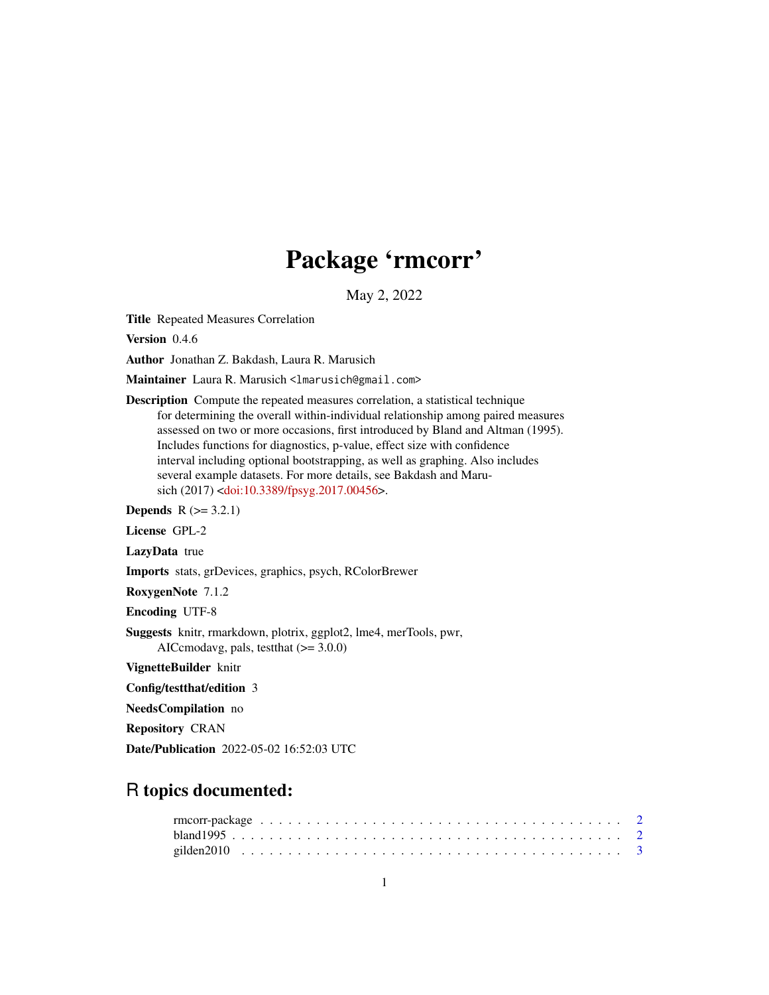## Package 'rmcorr'

May 2, 2022

<span id="page-0-0"></span>Title Repeated Measures Correlation

Version 0.4.6

Author Jonathan Z. Bakdash, Laura R. Marusich

Maintainer Laura R. Marusich <lmarusich@gmail.com>

Description Compute the repeated measures correlation, a statistical technique for determining the overall within-individual relationship among paired measures assessed on two or more occasions, first introduced by Bland and Altman (1995). Includes functions for diagnostics, p-value, effect size with confidence interval including optional bootstrapping, as well as graphing. Also includes several example datasets. For more details, see Bakdash and Maru-sich (2017) [<doi:10.3389/fpsyg.2017.00456>](https://doi.org/10.3389/fpsyg.2017.00456).

**Depends**  $R$  ( $>= 3.2.1$ )

License GPL-2

LazyData true

Imports stats, grDevices, graphics, psych, RColorBrewer

RoxygenNote 7.1.2

Encoding UTF-8

Suggests knitr, rmarkdown, plotrix, ggplot2, lme4, merTools, pwr, AICcmodavg, pals, testthat  $(>= 3.0.0)$ 

VignetteBuilder knitr

Config/testthat/edition 3

NeedsCompilation no

Repository CRAN

Date/Publication 2022-05-02 16:52:03 UTC

### R topics documented: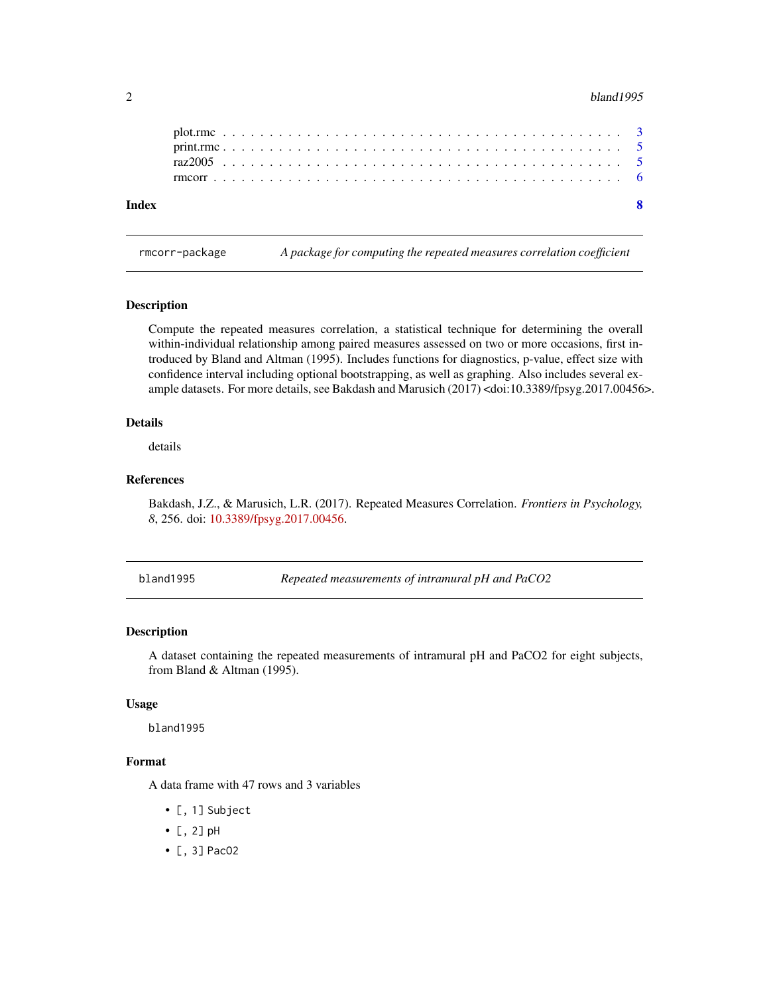#### <span id="page-1-0"></span>2 bland1995

| Index |  |  |  |  |  |  |  |  |  |  |  |  |  |  |  |  |  |  |  |  |  |  |  |
|-------|--|--|--|--|--|--|--|--|--|--|--|--|--|--|--|--|--|--|--|--|--|--|--|
|       |  |  |  |  |  |  |  |  |  |  |  |  |  |  |  |  |  |  |  |  |  |  |  |
|       |  |  |  |  |  |  |  |  |  |  |  |  |  |  |  |  |  |  |  |  |  |  |  |
|       |  |  |  |  |  |  |  |  |  |  |  |  |  |  |  |  |  |  |  |  |  |  |  |
|       |  |  |  |  |  |  |  |  |  |  |  |  |  |  |  |  |  |  |  |  |  |  |  |

rmcorr-package *A package for computing the repeated measures correlation coefficient*

#### Description

Compute the repeated measures correlation, a statistical technique for determining the overall within-individual relationship among paired measures assessed on two or more occasions, first introduced by Bland and Altman (1995). Includes functions for diagnostics, p-value, effect size with confidence interval including optional bootstrapping, as well as graphing. Also includes several example datasets. For more details, see Bakdash and Marusich (2017) <doi:10.3389/fpsyg.2017.00456>.

#### Details

details

#### References

Bakdash, J.Z., & Marusich, L.R. (2017). Repeated Measures Correlation. *Frontiers in Psychology, 8*, 256. doi: [10.3389/fpsyg.2017.00456.](https://doi.org/10.3389/fpsyg.2017.00456)

bland1995 *Repeated measurements of intramural pH and PaCO2*

#### Description

A dataset containing the repeated measurements of intramural pH and PaCO2 for eight subjects, from Bland & Altman (1995).

#### Usage

bland1995

#### Format

A data frame with 47 rows and 3 variables

- [, 1] Subject
- [, 2] pH
- [, 3] PacO2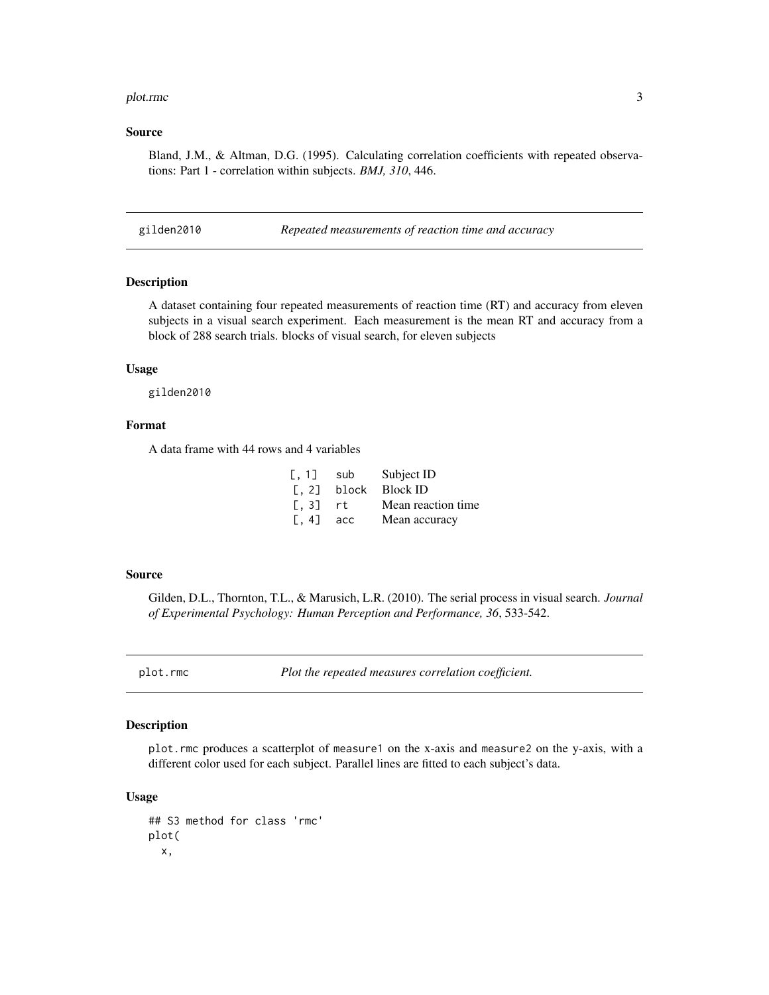#### <span id="page-2-0"></span>plot.rmc 3

#### Source

Bland, J.M., & Altman, D.G. (1995). Calculating correlation coefficients with repeated observations: Part 1 - correlation within subjects. *BMJ, 310*, 446.

gilden2010 *Repeated measurements of reaction time and accuracy*

#### Description

A dataset containing four repeated measurements of reaction time (RT) and accuracy from eleven subjects in a visual search experiment. Each measurement is the mean RT and accuracy from a block of 288 search trials. blocks of visual search, for eleven subjects

#### Usage

gilden2010

#### Format

A data frame with 44 rows and 4 variables

| [, 1]                                             | sub | Subject ID          |
|---------------------------------------------------|-----|---------------------|
| $\lbrack 0, 2 \rbrack$                            |     | block Block ID      |
| $\left[ \begin{matrix} 1, 3 \end{matrix} \right]$ | rt. | Mean reaction time. |
| $[, 4]$ acc                                       |     | Mean accuracy       |

#### Source

Gilden, D.L., Thornton, T.L., & Marusich, L.R. (2010). The serial process in visual search. *Journal of Experimental Psychology: Human Perception and Performance, 36*, 533-542.

<span id="page-2-1"></span>plot.rmc *Plot the repeated measures correlation coefficient.*

#### Description

plot.rmc produces a scatterplot of measure1 on the x-axis and measure2 on the y-axis, with a different color used for each subject. Parallel lines are fitted to each subject's data.

#### Usage

## S3 method for class 'rmc' plot( x,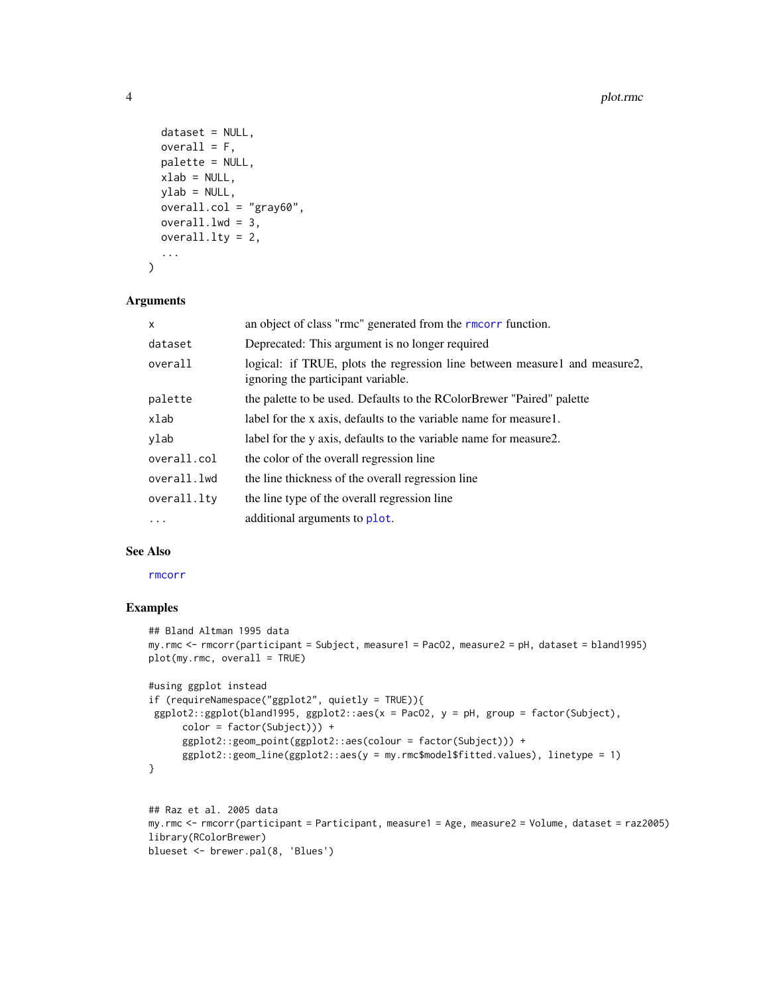```
dataset = NULL,
  overall = F,palette = NULL,
 xlab = NULL,
  ylab = NULL,
  overall.col = "gray60",
  overall.lwd = 3,overall.lty = 2,
  ...
\mathcal{L}
```
#### Arguments

| $\mathsf{x}$ | an object of class "rmc" generated from the rmcorr function.                                                     |
|--------------|------------------------------------------------------------------------------------------------------------------|
| dataset      | Deprecated: This argument is no longer required                                                                  |
| overall      | logical: if TRUE, plots the regression line between measure1 and measure2,<br>ignoring the participant variable. |
| palette      | the palette to be used. Defaults to the RColorBrewer "Paired" palette                                            |
| xlab         | label for the x axis, defaults to the variable name for measure 1.                                               |
| ylab         | label for the y axis, defaults to the variable name for measure2.                                                |
| overall.col  | the color of the overall regression line                                                                         |
| overall.lwd  | the line thickness of the overall regression line                                                                |
| overall.lty  | the line type of the overall regression line                                                                     |
| $\ddots$     | additional arguments to plot.                                                                                    |

#### See Also

[rmcorr](#page-5-1)

#### Examples

```
## Bland Altman 1995 data
my.rmc <- rmcorr(participant = Subject, measure1 = PacO2, measure2 = pH, dataset = bland1995)
plot(my.rmc, overall = TRUE)
#using ggplot instead
if (requireNamespace("ggplot2", quietly = TRUE)){
 ggplot2::ggplot(bland1995, ggplot2::aes(x = PacO2, y = pH, group = factor(Subject),
      color = factor(Subject))) +
      ggplot2::geom_point(ggplot2::aes(colour = factor(Subject))) +
      ggplot2::geom_line(ggplot2::aes(y = my.rmc$model$fitted.values), linetype = 1)
}
## Raz et al. 2005 data
```

```
my.rmc <- rmcorr(participant = Participant, measure1 = Age, measure2 = Volume, dataset = raz2005)
library(RColorBrewer)
blueset <- brewer.pal(8, 'Blues')
```
<span id="page-3-0"></span>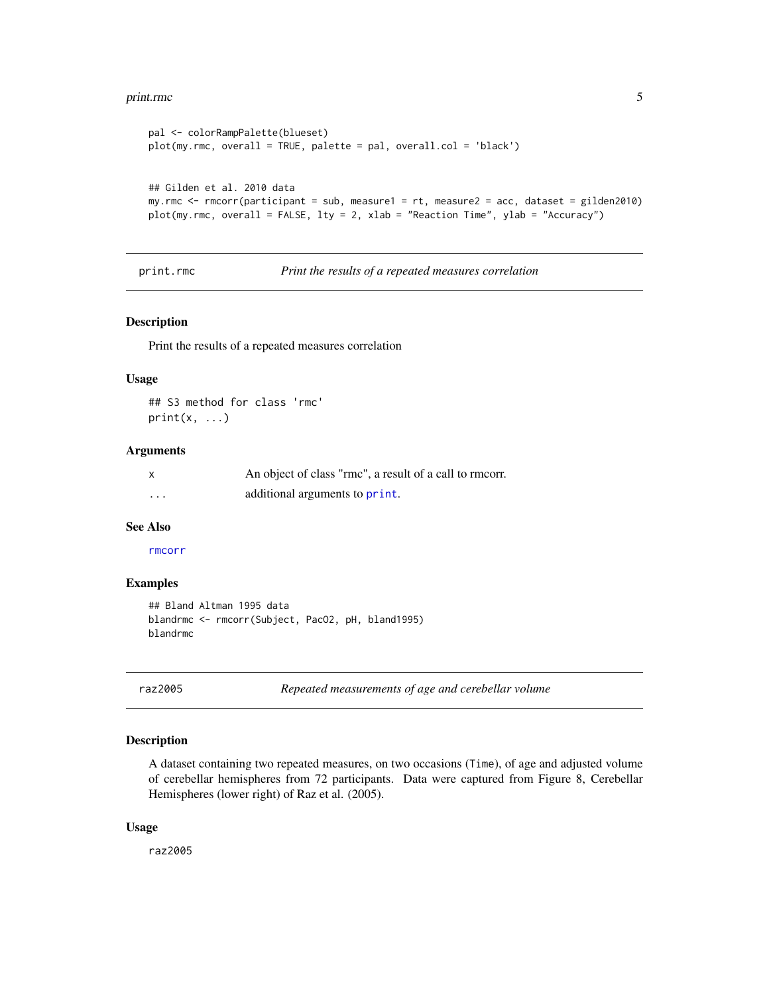#### <span id="page-4-0"></span>print.rmc 5

```
pal <- colorRampPalette(blueset)
plot(my.rmc, overall = TRUE, palette = pal, overall.col = 'black')
## Gilden et al. 2010 data
my.rmc <- rmcorr(participant = sub, measure1 = rt, measure2 = acc, dataset = gilden2010)
plot(my.rmc, overall = FALSE, lty = 2, xlab = "Reaction Time", ylab = "Accuracy")
```
print.rmc *Print the results of a repeated measures correlation*

#### Description

Print the results of a repeated measures correlation

#### Usage

```
## S3 method for class 'rmc'
print(x, \ldots)
```
#### **Arguments**

| $\mathsf{x}$ | An object of class "rmc", a result of a call to rmcorr. |
|--------------|---------------------------------------------------------|
| $\cdots$     | additional arguments to print.                          |

#### See Also

#### [rmcorr](#page-5-1)

#### Examples

```
## Bland Altman 1995 data
blandrmc <- rmcorr(Subject, PacO2, pH, bland1995)
blandrmc
```
raz2005 *Repeated measurements of age and cerebellar volume*

#### Description

A dataset containing two repeated measures, on two occasions (Time), of age and adjusted volume of cerebellar hemispheres from 72 participants. Data were captured from Figure 8, Cerebellar Hemispheres (lower right) of Raz et al. (2005).

#### Usage

raz2005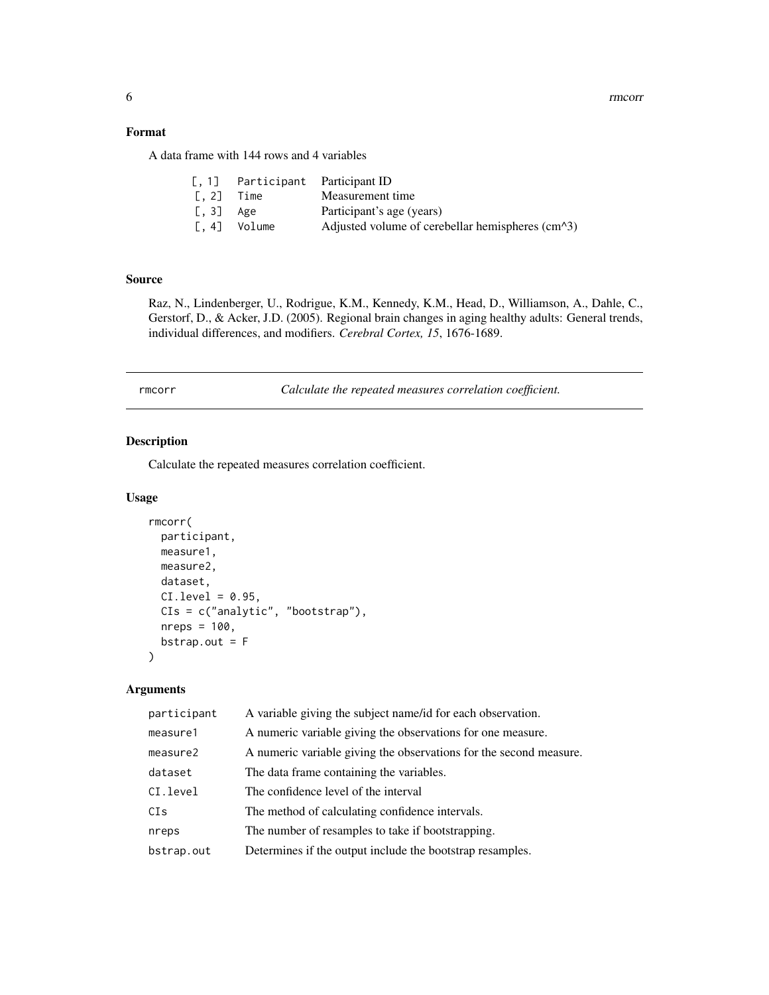<span id="page-5-0"></span>6 rmcorrection and the contract of the contract of the contract of the contract of the contract of the contract of the contract of the contract of the contract of the contract of the contract of the contract of the contrac

#### Format

A data frame with 144 rows and 4 variables

|                          | [, 1] Participant Participant ID |                                                                   |
|--------------------------|----------------------------------|-------------------------------------------------------------------|
| $\left[ . 2 \right]$     | Time                             | Measurement time                                                  |
| $\left[ . 3 \right]$ Age |                                  | Participant's age (years)                                         |
| $\lbrack 0, 4 \rbrack$   | Volume                           | Adjusted volume of cerebellar hemispheres $\text{(cm}^{\wedge}3)$ |

#### Source

Raz, N., Lindenberger, U., Rodrigue, K.M., Kennedy, K.M., Head, D., Williamson, A., Dahle, C., Gerstorf, D., & Acker, J.D. (2005). Regional brain changes in aging healthy adults: General trends, individual differences, and modifiers. *Cerebral Cortex, 15*, 1676-1689.

<span id="page-5-1"></span>rmcorr *Calculate the repeated measures correlation coefficient.*

#### Description

Calculate the repeated measures correlation coefficient.

#### Usage

```
rmcorr(
 participant,
 measure1,
 measure2,
 dataset,
 CI. level = 0.95.
 CIs = c("analytic", "bootstrap"),
 nreps = 100,
 bstrap.out = F
)
```
#### Arguments

| participant | A variable giving the subject name/id for each observation.        |
|-------------|--------------------------------------------------------------------|
| measure1    | A numeric variable giving the observations for one measure.        |
| measure2    | A numeric variable giving the observations for the second measure. |
| dataset     | The data frame containing the variables.                           |
| CI.level    | The confidence level of the interval                               |
| CI s        | The method of calculating confidence intervals.                    |
| nreps       | The number of resamples to take if bootstrapping.                  |
| bstrap.out  | Determines if the output include the bootstrap resamples.          |
|             |                                                                    |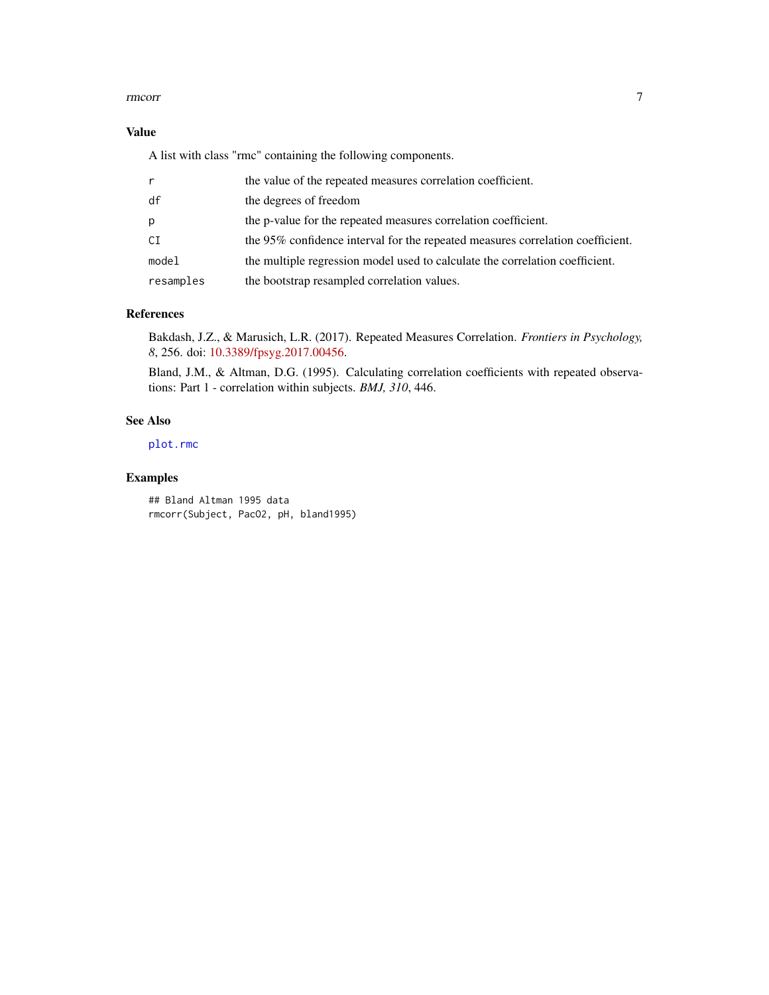#### <span id="page-6-0"></span>rmcorr 7

#### Value

A list with class "rmc" containing the following components.

| r         | the value of the repeated measures correlation coefficient.                    |
|-----------|--------------------------------------------------------------------------------|
| df        | the degrees of freedom                                                         |
| p         | the p-value for the repeated measures correlation coefficient.                 |
| CI        | the 95% confidence interval for the repeated measures correlation coefficient. |
| model     | the multiple regression model used to calculate the correlation coefficient.   |
| resamples | the bootstrap resampled correlation values.                                    |

#### References

Bakdash, J.Z., & Marusich, L.R. (2017). Repeated Measures Correlation. *Frontiers in Psychology, 8*, 256. doi: [10.3389/fpsyg.2017.00456.](https://doi.org/10.3389/fpsyg.2017.00456)

Bland, J.M., & Altman, D.G. (1995). Calculating correlation coefficients with repeated observations: Part 1 - correlation within subjects. *BMJ, 310*, 446.

#### See Also

[plot.rmc](#page-2-1)

#### Examples

## Bland Altman 1995 data rmcorr(Subject, PacO2, pH, bland1995)